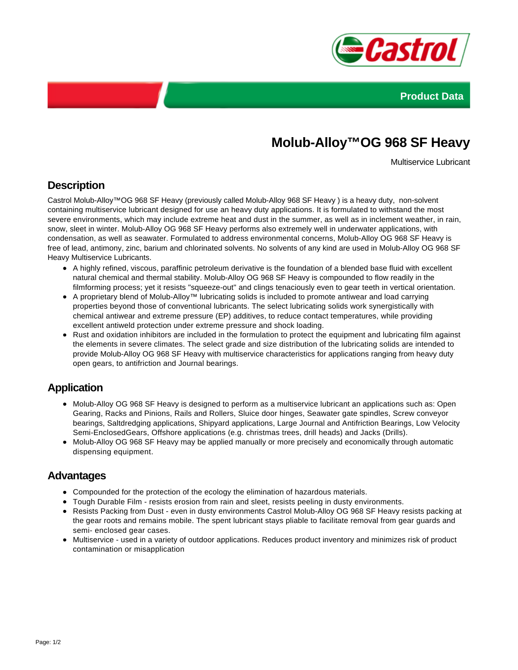



# **Molub-Alloy™OG 968 SF Heavy**

Multiservice Lubricant

# **Description**

Castrol Molub-Alloy™OG 968 SF Heavy (previously called Molub-Alloy 968 SF Heavy ) is a heavy duty, non-solvent containing multiservice lubricant designed for use an heavy duty applications. It is formulated to withstand the most severe environments, which may include extreme heat and dust in the summer, as well as in inclement weather, in rain, snow, sleet in winter. Molub-Alloy OG 968 SF Heavy performs also extremely well in underwater applications, with condensation, as well as seawater. Formulated to address environmental concerns, Molub-Alloy OG 968 SF Heavy is free of lead, antimony, zinc, barium and chlorinated solvents. No solvents of any kind are used in Molub-Alloy OG 968 SF Heavy Multiservice Lubricants.

- A highly refined, viscous, paraffinic petroleum derivative is the foundation of a blended base fluid with excellent natural chemical and thermal stability. Molub-Alloy OG 968 SF Heavy is compounded to flow readily in the filmforming process; yet it resists "squeeze-out" and clings tenaciously even to gear teeth in vertical orientation.
- A proprietary blend of Molub-Alloy™ lubricating solids is included to promote antiwear and load carrying properties beyond those of conventional lubricants. The select lubricating solids work synergistically with chemical antiwear and extreme pressure (EP) additives, to reduce contact temperatures, while providing excellent antiweld protection under extreme pressure and shock loading.
- Rust and oxidation inhibitors are included in the formulation to protect the equipment and lubricating film against the elements in severe climates. The select grade and size distribution of the lubricating solids are intended to provide Molub-Alloy OG 968 SF Heavy with multiservice characteristics for applications ranging from heavy duty open gears, to antifriction and Journal bearings.

### **Application**

- Molub-Alloy OG 968 SF Heavy is designed to perform as a multiservice lubricant an applications such as: Open Gearing, Racks and Pinions, Rails and Rollers, Sluice door hinges, Seawater gate spindles, Screw conveyor bearings, Saltdredging applications, Shipyard applications, Large Journal and Antifriction Bearings, Low Velocity Semi-EnclosedGears, Offshore applications (e.g. christmas trees, drill heads) and Jacks (Drills).
- Molub-Alloy OG 968 SF Heavy may be applied manually or more precisely and economically through automatic dispensing equipment.

#### **Advantages**

- Compounded for the protection of the ecology the elimination of hazardous materials.
- Tough Durable Film resists erosion from rain and sleet, resists peeling in dusty environments.
- Resists Packing from Dust even in dusty environments Castrol Molub-Alloy OG 968 SF Heavy resists packing at the gear roots and remains mobile. The spent lubricant stays pliable to facilitate removal from gear guards and semi- enclosed gear cases.
- Multiservice used in a variety of outdoor applications. Reduces product inventory and minimizes risk of product contamination or misapplication